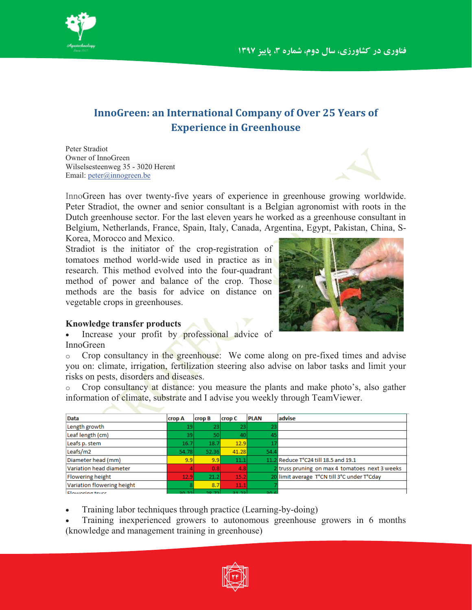

## **InnoGreen: an International Company of Over 25 Years of Experience in Greenhouse**

Peter Stradiot Owner of InnoGreen Wilselsesteenweg 35 - 3020 Herent Email: peter@innogreen.be

InnoGreen has over twenty-five years of experience in greenhouse growing worldwide. Peter Stradiot, the owner and senior consultant is a Belgian agronomist with roots in the Dutch greenhouse sector. For the last eleven years he worked as a greenhouse consultant in Belgium, Netherlands, France, Spain, Italy, Canada, Argentina, Egypt, Pakistan, China, S-Korea, Morocco and Mexico.

Stradiot is the initiator of the crop-registration of tomatoes method world-wide used in practice as in research. This method evolved into the four-quadrant method of power and balance of the crop. Those methods are the basis for advice on distance on vegetable crops in greenhouses.



## **Knowledge transfer products**

- Increase your profit by professional advice of InnoGreen

o Crop consultancy in the greenhouse: We come along on pre-fixed times and advise you on: climate, irrigation, fertilization steering also advise on labor tasks and limit your risks on pests, disorders and diseases.

Crop consultancy at distance: you measure the plants and make photo's, also gather information of climate, substrate and I advise you weekly through TeamViewer.

| Data                       | crop A | <b>crop B</b> | crop C | <b>PLAN</b> | advise                                         |
|----------------------------|--------|---------------|--------|-------------|------------------------------------------------|
| Length growth              | 19     | 23            | 23     | 23.         |                                                |
| Leaf length (cm)           | 391    | 50            | 40     |             |                                                |
| Leafs p. stem              | 16.7   | 18.7          | 12.9   |             |                                                |
| Leafs/m2                   | 54.78  | 52.36         | 41.28  | 54.4        |                                                |
| Diameter head (mm)         | 9.9    | 9.9           | 11.1   |             | 11.2 Reduce T°C24 till 18.5 and 19.1           |
| Variation head diameter    |        | 0.8           | 4.8    |             | 2 truss pruning on max 4 tomatoes next 3 weeks |
| Flowering height           | 12.9   | 21.2          | 15.2   |             | 20 limit average T°CN till 3°C under T°Cday    |
| Variation flowering height |        | 8.7           | 11.1   |             |                                                |
| Eloworing truce            | רכים   | 20.72         | 51.55  | 20.6        |                                                |

-Training labor techniques through practice (Learning-by-doing)

- Training inexperienced growers to autonomous greenhouse growers in 6 months (knowledge and management training in greenhouse)